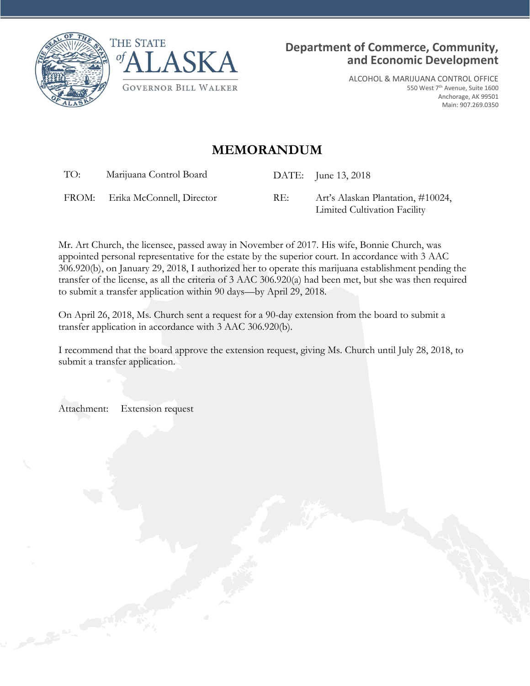



ALCOHOL & MARIJUANA CONTROL OFFICE 550 West 7th Avenue, Suite 1600 Anchorage, AK 99501 Main: 907.269.0350

## **MEMORANDUM**

TO: Marijuana Control Board DATE: June 13, 2018

FROM: Erika McConnell, Director RE: Art's Alaskan Plantation, #10024, Limited Cultivation Facility

Mr. Art Church, the licensee, passed away in November of 2017. His wife, Bonnie Church, was appointed personal representative for the estate by the superior court. In accordance with 3 AAC 306.920(b), on January 29, 2018, I authorized her to operate this marijuana establishment pending the transfer of the license, as all the criteria of 3 AAC 306.920(a) had been met, but she was then required to submit a transfer application within 90 days—by April 29, 2018.

On April 26, 2018, Ms. Church sent a request for a 90-day extension from the board to submit a transfer application in accordance with 3 AAC 306.920(b).

I recommend that the board approve the extension request, giving Ms. Church until July 28, 2018, to submit a transfer application.

Attachment: Extension request